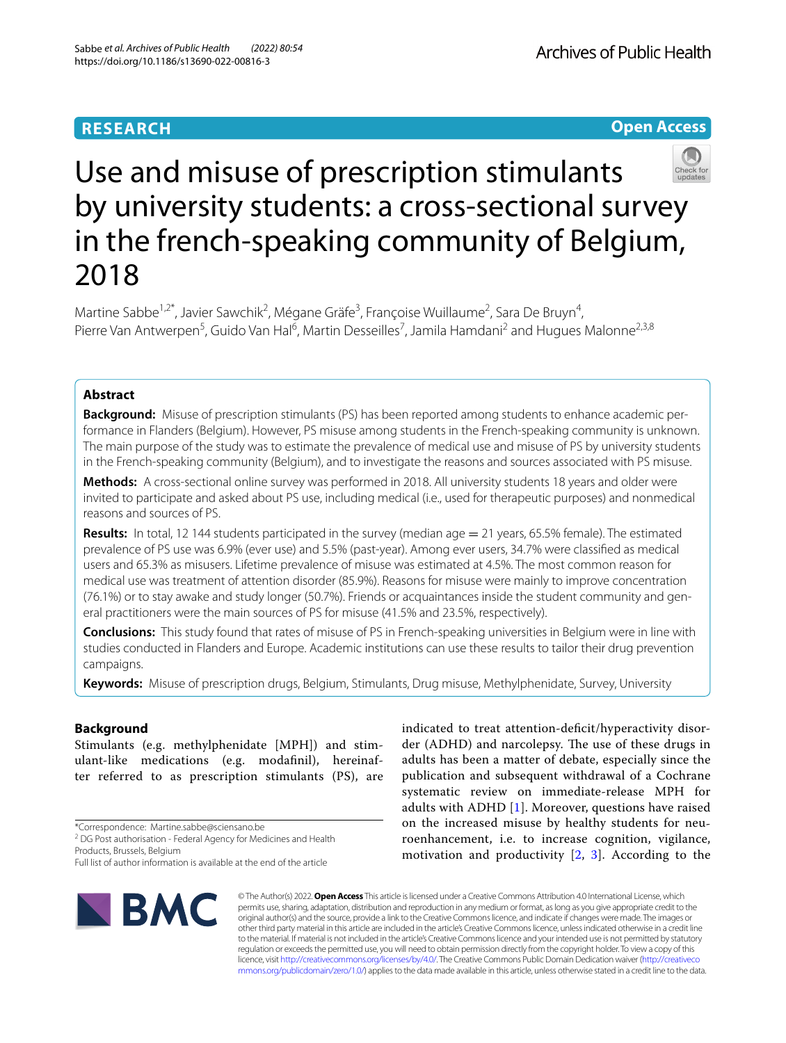# **RESEARCH**

**Open Access**

# Use and misuse of prescription stimulants by university students: a cross-sectional survey in the french-speaking community of Belgium, 2018

Martine Sabbe<sup>1,2\*</sup>, Javier Sawchik<sup>2</sup>, Mégane Gräfe<sup>3</sup>, Françoise Wuillaume<sup>2</sup>, Sara De Bruyn<sup>4</sup>, Pierre Van Antwerpen<sup>5</sup>, Guido Van Hal<sup>6</sup>, Martin Desseilles<sup>7</sup>, Jamila Hamdani<sup>2</sup> and Hugues Malonne<sup>2,3,8</sup>

# **Abstract**

**Background:** Misuse of prescription stimulants (PS) has been reported among students to enhance academic performance in Flanders (Belgium). However, PS misuse among students in the French-speaking community is unknown. The main purpose of the study was to estimate the prevalence of medical use and misuse of PS by university students in the French-speaking community (Belgium), and to investigate the reasons and sources associated with PS misuse.

**Methods:** A cross-sectional online survey was performed in 2018. All university students 18 years and older were invited to participate and asked about PS use, including medical (i.e., used for therapeutic purposes) and nonmedical reasons and sources of PS.

**Results:** In total, 12 144 students participated in the survey (median age = 21 years, 65.5% female). The estimated prevalence of PS use was 6.9% (ever use) and 5.5% (past-year). Among ever users, 34.7% were classifed as medical users and 65.3% as misusers. Lifetime prevalence of misuse was estimated at 4.5%. The most common reason for medical use was treatment of attention disorder (85.9%). Reasons for misuse were mainly to improve concentration (76.1%) or to stay awake and study longer (50.7%). Friends or acquaintances inside the student community and general practitioners were the main sources of PS for misuse (41.5% and 23.5%, respectively).

**Conclusions:** This study found that rates of misuse of PS in French-speaking universities in Belgium were in line with studies conducted in Flanders and Europe. Academic institutions can use these results to tailor their drug prevention campaigns.

**Keywords:** Misuse of prescription drugs, Belgium, Stimulants, Drug misuse, Methylphenidate, Survey, University

# **Background**

Stimulants (e.g. methylphenidate [MPH]) and stimulant-like medications (e.g. modafnil), hereinafter referred to as prescription stimulants (PS), are

\*Correspondence: Martine.sabbe@sciensano.be

<sup>2</sup> DG Post authorisation - Federal Agency for Medicines and Health Products, Brussels, Belgium

Full list of author information is available at the end of the article



indicated to treat attention-deficit/hyperactivity disorder (ADHD) and narcolepsy. The use of these drugs in adults has been a matter of debate, especially since the publication and subsequent withdrawal of a Cochrane systematic review on immediate-release MPH for adults with ADHD [[1\]](#page-8-0). Moreover, questions have raised on the increased misuse by healthy students for neuroenhancement, i.e. to increase cognition, vigilance, motivation and productivity [[2,](#page-8-1) [3](#page-8-2)]. According to the

© The Author(s) 2022. **Open Access** This article is licensed under a Creative Commons Attribution 4.0 International License, which permits use, sharing, adaptation, distribution and reproduction in any medium or format, as long as you give appropriate credit to the original author(s) and the source, provide a link to the Creative Commons licence, and indicate if changes were made. The images or other third party material in this article are included in the article's Creative Commons licence, unless indicated otherwise in a credit line to the material. If material is not included in the article's Creative Commons licence and your intended use is not permitted by statutory regulation or exceeds the permitted use, you will need to obtain permission directly from the copyright holder. To view a copy of this licence, visit [http://creativecommons.org/licenses/by/4.0/.](http://creativecommons.org/licenses/by/4.0/) The Creative Commons Public Domain Dedication waiver ([http://creativeco](http://creativecommons.org/publicdomain/zero/1.0/) [mmons.org/publicdomain/zero/1.0/](http://creativecommons.org/publicdomain/zero/1.0/)) applies to the data made available in this article, unless otherwise stated in a credit line to the data.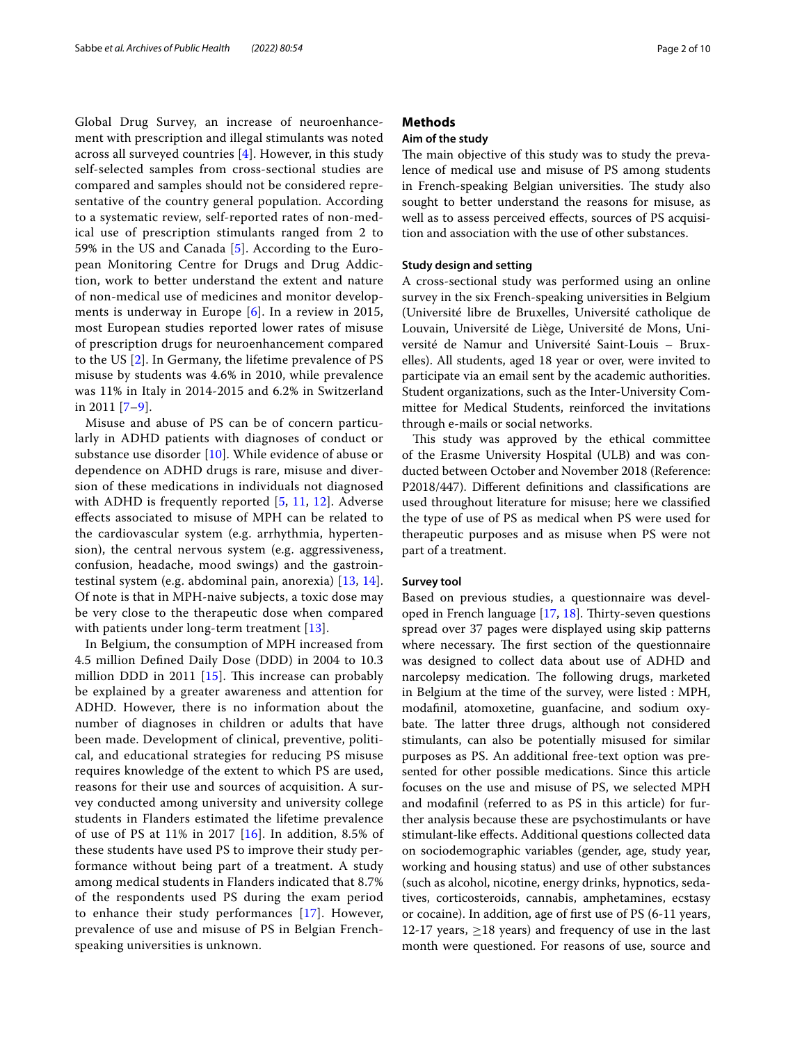Global Drug Survey, an increase of neuroenhancement with prescription and illegal stimulants was noted across all surveyed countries [[4\]](#page-8-3). However, in this study self-selected samples from cross-sectional studies are compared and samples should not be considered representative of the country general population. According to a systematic review, self-reported rates of non-medical use of prescription stimulants ranged from 2 to 59% in the US and Canada [[5\]](#page-8-4). According to the European Monitoring Centre for Drugs and Drug Addiction, work to better understand the extent and nature of non-medical use of medicines and monitor developments is underway in Europe [[6](#page-8-5)]. In a review in 2015, most European studies reported lower rates of misuse of prescription drugs for neuroenhancement compared to the US [[2](#page-8-1)]. In Germany, the lifetime prevalence of PS misuse by students was 4.6% in 2010, while prevalence was 11% in Italy in 2014-2015 and 6.2% in Switzerland in 2011 [\[7–](#page-8-6)[9\]](#page-8-7).

Misuse and abuse of PS can be of concern particularly in ADHD patients with diagnoses of conduct or substance use disorder [\[10](#page-8-8)]. While evidence of abuse or dependence on ADHD drugs is rare, misuse and diversion of these medications in individuals not diagnosed with ADHD is frequently reported [\[5](#page-8-4), [11,](#page-8-9) [12\]](#page-8-10). Adverse efects associated to misuse of MPH can be related to the cardiovascular system (e.g. arrhythmia, hypertension), the central nervous system (e.g. aggressiveness, confusion, headache, mood swings) and the gastrointestinal system (e.g. abdominal pain, anorexia) [[13,](#page-8-11) [14\]](#page-8-12). Of note is that in MPH-naive subjects, a toxic dose may be very close to the therapeutic dose when compared with patients under long-term treatment [[13\]](#page-8-11).

In Belgium, the consumption of MPH increased from 4.5 million Defned Daily Dose (DDD) in 2004 to 10.3 million DDD in 2011  $[15]$  $[15]$ . This increase can probably be explained by a greater awareness and attention for ADHD. However, there is no information about the number of diagnoses in children or adults that have been made. Development of clinical, preventive, political, and educational strategies for reducing PS misuse requires knowledge of the extent to which PS are used, reasons for their use and sources of acquisition. A survey conducted among university and university college students in Flanders estimated the lifetime prevalence of use of PS at 11% in 2017 [\[16\]](#page-8-14). In addition, 8.5% of these students have used PS to improve their study performance without being part of a treatment. A study among medical students in Flanders indicated that 8.7% of the respondents used PS during the exam period to enhance their study performances [\[17](#page-8-15)]. However, prevalence of use and misuse of PS in Belgian Frenchspeaking universities is unknown.

# **Methods**

# **Aim of the study**

The main objective of this study was to study the prevalence of medical use and misuse of PS among students in French-speaking Belgian universities. The study also sought to better understand the reasons for misuse, as well as to assess perceived efects, sources of PS acquisition and association with the use of other substances.

#### **Study design and setting**

A cross-sectional study was performed using an online survey in the six French-speaking universities in Belgium (Université libre de Bruxelles, Université catholique de Louvain, Université de Liège, Université de Mons, Université de Namur and Université Saint-Louis – Bruxelles). All students, aged 18 year or over, were invited to participate via an email sent by the academic authorities. Student organizations, such as the Inter-University Committee for Medical Students, reinforced the invitations through e-mails or social networks.

This study was approved by the ethical committee of the Erasme University Hospital (ULB) and was conducted between October and November 2018 (Reference: P2018/447). Diferent defnitions and classifcations are used throughout literature for misuse; here we classifed the type of use of PS as medical when PS were used for therapeutic purposes and as misuse when PS were not part of a treatment.

# **Survey tool**

Based on previous studies, a questionnaire was developed in French language  $[17, 18]$  $[17, 18]$  $[17, 18]$ . Thirty-seven questions spread over 37 pages were displayed using skip patterns where necessary. The first section of the questionnaire was designed to collect data about use of ADHD and narcolepsy medication. The following drugs, marketed in Belgium at the time of the survey, were listed : MPH, modafnil, atomoxetine, guanfacine, and sodium oxybate. The latter three drugs, although not considered stimulants, can also be potentially misused for similar purposes as PS. An additional free-text option was presented for other possible medications. Since this article focuses on the use and misuse of PS, we selected MPH and modafnil (referred to as PS in this article) for further analysis because these are psychostimulants or have stimulant-like efects. Additional questions collected data on sociodemographic variables (gender, age, study year, working and housing status) and use of other substances (such as alcohol, nicotine, energy drinks, hypnotics, sedatives, corticosteroids, cannabis, amphetamines, ecstasy or cocaine). In addition, age of frst use of PS (6-11 years, 12-17 years,  $\geq$ 18 years) and frequency of use in the last month were questioned. For reasons of use, source and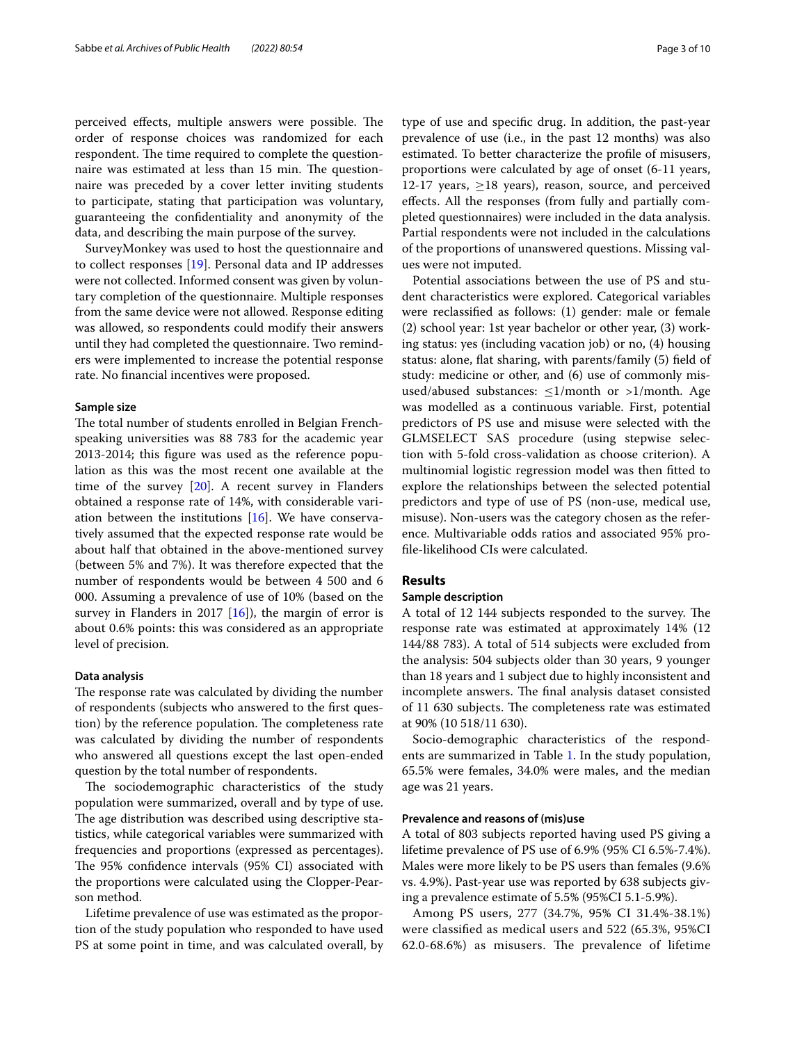perceived effects, multiple answers were possible. The order of response choices was randomized for each respondent. The time required to complete the questionnaire was estimated at less than 15 min. The questionnaire was preceded by a cover letter inviting students to participate, stating that participation was voluntary, guaranteeing the confdentiality and anonymity of the data, and describing the main purpose of the survey.

SurveyMonkey was used to host the questionnaire and to collect responses [\[19](#page-8-17)]. Personal data and IP addresses were not collected. Informed consent was given by voluntary completion of the questionnaire. Multiple responses from the same device were not allowed. Response editing was allowed, so respondents could modify their answers until they had completed the questionnaire. Two reminders were implemented to increase the potential response rate. No fnancial incentives were proposed.

#### **Sample size**

The total number of students enrolled in Belgian Frenchspeaking universities was 88 783 for the academic year 2013-2014; this fgure was used as the reference population as this was the most recent one available at the time of the survey [[20\]](#page-8-18). A recent survey in Flanders obtained a response rate of 14%, with considerable variation between the institutions [[16\]](#page-8-14). We have conservatively assumed that the expected response rate would be about half that obtained in the above-mentioned survey (between 5% and 7%). It was therefore expected that the number of respondents would be between 4 500 and 6 000. Assuming a prevalence of use of 10% (based on the survey in Flanders in 2017  $[16]$ , the margin of error is about 0.6% points: this was considered as an appropriate level of precision.

### **Data analysis**

The response rate was calculated by dividing the number of respondents (subjects who answered to the frst question) by the reference population. The completeness rate was calculated by dividing the number of respondents who answered all questions except the last open-ended question by the total number of respondents.

The sociodemographic characteristics of the study population were summarized, overall and by type of use. The age distribution was described using descriptive statistics, while categorical variables were summarized with frequencies and proportions (expressed as percentages). The 95% confidence intervals (95% CI) associated with the proportions were calculated using the Clopper-Pearson method.

Lifetime prevalence of use was estimated as the proportion of the study population who responded to have used PS at some point in time, and was calculated overall, by type of use and specifc drug. In addition, the past-year prevalence of use (i.e., in the past 12 months) was also estimated. To better characterize the profle of misusers, proportions were calculated by age of onset (6-11 years, 12-17 years,  $\geq$ 18 years), reason, source, and perceived efects. All the responses (from fully and partially completed questionnaires) were included in the data analysis. Partial respondents were not included in the calculations of the proportions of unanswered questions. Missing values were not imputed.

Potential associations between the use of PS and student characteristics were explored. Categorical variables were reclassifed as follows: (1) gender: male or female (2) school year: 1st year bachelor or other year, (3) working status: yes (including vacation job) or no, (4) housing status: alone, fat sharing, with parents/family (5) feld of study: medicine or other, and (6) use of commonly misused/abused substances:  $\leq 1$ /month or >1/month. Age was modelled as a continuous variable. First, potential predictors of PS use and misuse were selected with the GLMSELECT SAS procedure (using stepwise selection with 5-fold cross-validation as choose criterion). A multinomial logistic regression model was then ftted to explore the relationships between the selected potential predictors and type of use of PS (non-use, medical use, misuse). Non-users was the category chosen as the reference. Multivariable odds ratios and associated 95% profle-likelihood CIs were calculated.

# **Results**

# **Sample description**

A total of 12 144 subjects responded to the survey. The response rate was estimated at approximately 14% (12 144/88 783). A total of 514 subjects were excluded from the analysis: 504 subjects older than 30 years, 9 younger than 18 years and 1 subject due to highly inconsistent and incomplete answers. The final analysis dataset consisted of 11 630 subjects. The completeness rate was estimated at 90% (10 518/11 630).

Socio-demographic characteristics of the respondents are summarized in Table [1](#page-3-0). In the study population, 65.5% were females, 34.0% were males, and the median age was 21 years.

# **Prevalence and reasons of (mis)use**

A total of 803 subjects reported having used PS giving a lifetime prevalence of PS use of 6.9% (95% CI 6.5%-7.4%). Males were more likely to be PS users than females (9.6% vs. 4.9%). Past-year use was reported by 638 subjects giving a prevalence estimate of 5.5% (95%CI 5.1-5.9%).

Among PS users, 277 (34.7%, 95% CI 31.4%-38.1%) were classifed as medical users and 522 (65.3%, 95%CI  $62.0 - 68.6\%$ ) as misusers. The prevalence of lifetime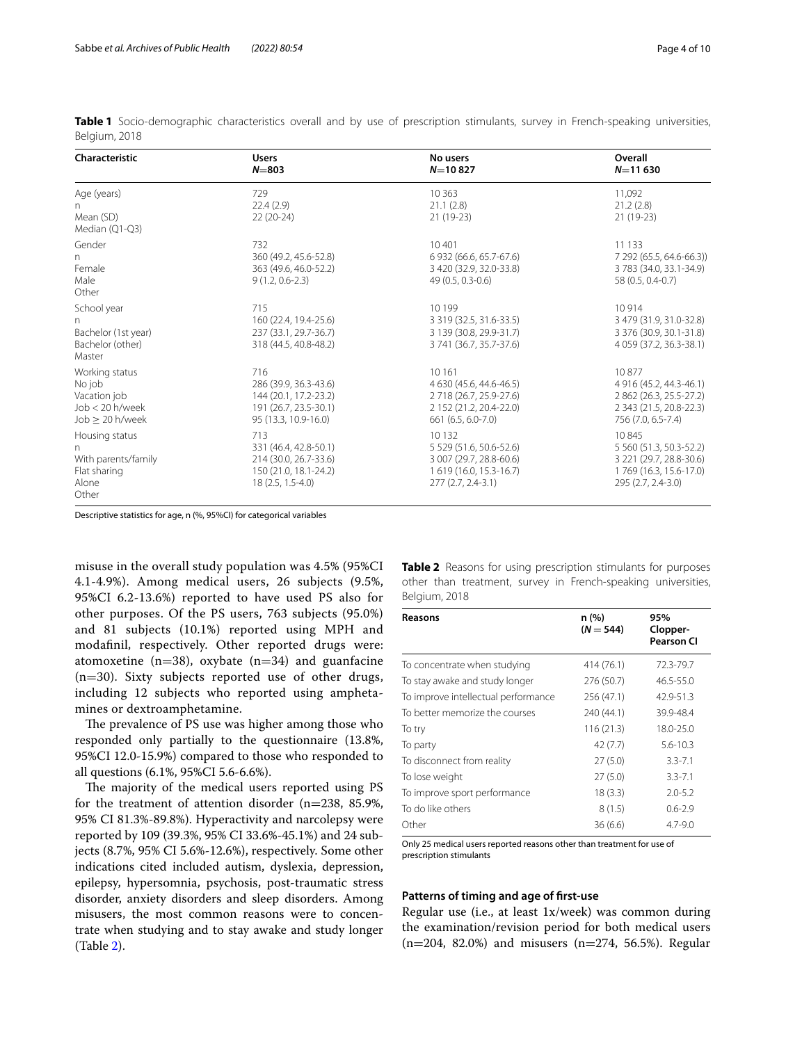| Characteristic                                                                      | <b>Users</b><br>$N = 803$                                                                              | No users<br>$N=10827$                                                                                          | Overall<br>$N = 11630$                                                                                       |
|-------------------------------------------------------------------------------------|--------------------------------------------------------------------------------------------------------|----------------------------------------------------------------------------------------------------------------|--------------------------------------------------------------------------------------------------------------|
| Age (years)<br>n.<br>Mean (SD)<br>Median (Q1-Q3)                                    | 729<br>22.4(2.9)<br>$22(20-24)$                                                                        | 10 3 6 3<br>21.1(2.8)<br>$21(19-23)$                                                                           | 11,092<br>21.2(2.8)<br>$21(19-23)$                                                                           |
| Gender<br>n<br>Female<br>Male<br>Other                                              | 732<br>360 (49.2, 45.6-52.8)<br>363 (49.6, 46.0-52.2)<br>$9(1.2, 0.6 - 2.3)$                           | 10401<br>6 932 (66.6, 65.7-67.6)<br>3 420 (32.9, 32.0-33.8)<br>49 (0.5, 0.3-0.6)                               | 11 1 3 3<br>7 292 (65.5, 64.6-66.3))<br>3 783 (34.0, 33.1-34.9)<br>58 (0.5, 0.4-0.7)                         |
| School year<br>n<br>Bachelor (1st year)<br>Bachelor (other)<br>Master               | 715<br>160 (22.4, 19.4-25.6)<br>237 (33.1, 29.7-36.7)<br>318 (44.5, 40.8-48.2)                         | 10 199<br>3 319 (32.5, 31.6-33.5)<br>3 139 (30.8, 29.9-31.7)<br>3 741 (36.7, 35.7-37.6)                        | 10914<br>3 479 (31.9, 31.0-32.8)<br>3 376 (30.9, 30.1-31.8)<br>4 059 (37.2, 36.3-38.1)                       |
| Working status<br>No job<br>Vacation job<br>Job < 20 h/week<br>$Job \geq 20$ h/week | 716<br>286 (39.9, 36.3-43.6)<br>144 (20.1, 17.2-23.2)<br>191 (26.7, 23.5-30.1)<br>95 (13.3, 10.9-16.0) | 10 16 1<br>4 630 (45.6, 44.6-46.5)<br>2 718 (26.7, 25.9-27.6)<br>2 152 (21.2, 20.4-22.0)<br>661 (6.5, 6.0-7.0) | 10877<br>4 916 (45.2, 44.3-46.1)<br>2 862 (26.3, 25.5-27.2)<br>2 343 (21.5, 20.8-22.3)<br>756 (7.0, 6.5-7.4) |
| Housing status<br>n<br>With parents/family<br>Flat sharing<br>Alone<br>Other        | 713<br>331 (46.4, 42.8-50.1)<br>214 (30.0, 26.7-33.6)<br>150 (21.0, 18.1-24.2)<br>$18(2.5, 1.5-4.0)$   | 10 132<br>5 529 (51.6, 50.6-52.6)<br>3 007 (29.7, 28.8-60.6)<br>1 619 (16.0, 15.3-16.7)<br>277 (2.7, 2.4-3.1)  | 10845<br>5 560 (51.3, 50.3-52.2)<br>3 221 (29.7, 28.8-30.6)<br>1769 (16.3, 15.6-17.0)<br>295 (2.7, 2.4-3.0)  |

<span id="page-3-0"></span>**Table 1** Socio-demographic characteristics overall and by use of prescription stimulants, survey in French-speaking universities, Belgium, 2018

Descriptive statistics for age, n (%, 95%CI) for categorical variables

misuse in the overall study population was 4.5% (95%CI 4.1-4.9%). Among medical users, 26 subjects (9.5%, 95%CI 6.2-13.6%) reported to have used PS also for other purposes. Of the PS users, 763 subjects (95.0%) and 81 subjects (10.1%) reported using MPH and modafnil, respectively. Other reported drugs were: atomoxetine ( $n=38$ ), oxybate ( $n=34$ ) and guanfacine (n=30). Sixty subjects reported use of other drugs, including 12 subjects who reported using amphetamines or dextroamphetamine.

The prevalence of PS use was higher among those who responded only partially to the questionnaire (13.8%, 95%CI 12.0-15.9%) compared to those who responded to all questions (6.1%, 95%CI 5.6-6.6%).

The majority of the medical users reported using PS for the treatment of attention disorder (n=238, 85.9%, 95% CI 81.3%-89.8%). Hyperactivity and narcolepsy were reported by 109 (39.3%, 95% CI 33.6%-45.1%) and 24 subjects (8.7%, 95% CI 5.6%-12.6%), respectively. Some other indications cited included autism, dyslexia, depression, epilepsy, hypersomnia, psychosis, post-traumatic stress disorder, anxiety disorders and sleep disorders. Among misusers, the most common reasons were to concentrate when studying and to stay awake and study longer (Table [2](#page-3-1)).

<span id="page-3-1"></span>**Table 2** Reasons for using prescription stimulants for purposes other than treatment, survey in French-speaking universities, Belgium, 2018

| Reasons                             | n (%)<br>$(N = 544)$ | 95%<br>Clopper-<br><b>Pearson CI</b> |
|-------------------------------------|----------------------|--------------------------------------|
| To concentrate when studying        | 414 (76.1)           | 72.3-79.7                            |
| To stay awake and study longer      | 276 (50.7)           | $46.5 - 55.0$                        |
| To improve intellectual performance | 256 (47.1)           | 42.9-51.3                            |
| To better memorize the courses      | 240 (44.1)           | 39.9-48.4                            |
| To try                              | 116(21.3)            | 18.0-25.0                            |
| To party                            | 42(7.7)              | $5.6 - 10.3$                         |
| To disconnect from reality          | 27(5.0)              | $3.3 - 7.1$                          |
| To lose weight                      | 27(5.0)              | $3.3 - 7.1$                          |
| To improve sport performance        | 18(3.3)              | $2.0 - 5.2$                          |
| To do like others                   | 8(1.5)               | $0.6 - 2.9$                          |
| Other                               | 36(6.6)              | $4.7 - 9.0$                          |

Only 25 medical users reported reasons other than treatment for use of prescription stimulants

### **Patterns of timing and age of frst‑use**

Regular use (i.e., at least 1x/week) was common during the examination/revision period for both medical users  $(n=204, 82.0%)$  and misusers  $(n=274, 56.5%)$ . Regular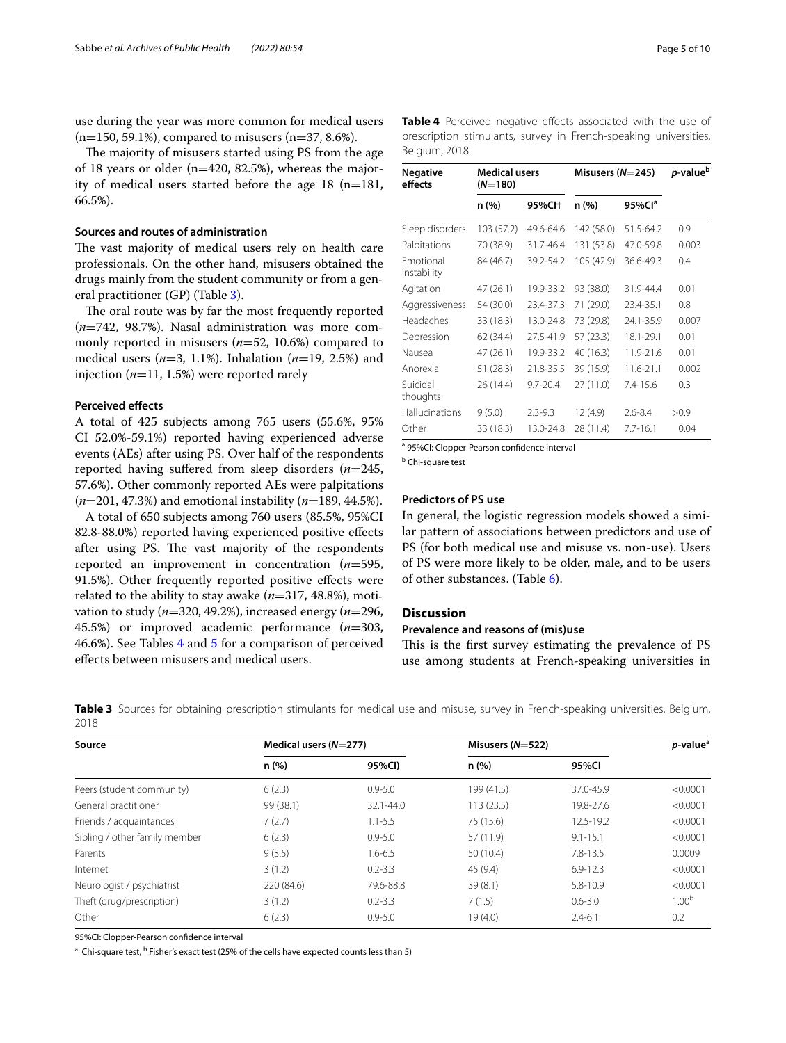use during the year was more common for medical users  $(n=150, 59.1\%)$ , compared to misusers  $(n=37, 8.6\%).$ 

The majority of misusers started using PS from the age of 18 years or older (n=420, 82.5%), whereas the majority of medical users started before the age 18 (n=181, 66.5%).

#### **Sources and routes of administration**

The vast majority of medical users rely on health care professionals. On the other hand, misusers obtained the drugs mainly from the student community or from a general practitioner (GP) (Table [3](#page-4-0)).

The oral route was by far the most frequently reported (*n*=742, 98.7%). Nasal administration was more commonly reported in misusers (*n*=52, 10.6%) compared to medical users (*n*=3, 1.1%). Inhalation (*n*=19, 2.5%) and injection (*n*=11, 1.5%) were reported rarely

#### **Perceived efects**

A total of 425 subjects among 765 users (55.6%, 95% CI 52.0%-59.1%) reported having experienced adverse events (AEs) after using PS. Over half of the respondents reported having sufered from sleep disorders (*n*=245, 57.6%). Other commonly reported AEs were palpitations (*n*=201, 47.3%) and emotional instability (*n*=189, 44.5%).

A total of 650 subjects among 760 users (85.5%, 95%CI 82.8-88.0%) reported having experienced positive efects after using PS. The vast majority of the respondents reported an improvement in concentration (*n*=595, 91.5%). Other frequently reported positive efects were related to the ability to stay awake (*n*=317, 48.8%), motivation to study (*n*=320, 49.2%), increased energy (*n*=296, 45.5%) or improved academic performance (*n*=303, 46.6%). See Tables [4](#page-4-1) and [5](#page-5-0) for a comparison of perceived efects between misusers and medical users.

<span id="page-4-1"></span>

|               | Table 4 Perceived negative effects associated with the use of    |  |  |  |
|---------------|------------------------------------------------------------------|--|--|--|
|               | prescription stimulants, survey in French-speaking universities, |  |  |  |
| Belgium, 2018 |                                                                  |  |  |  |

| Negative<br>effects             | <b>Medical users</b><br>$(N=180)$ |                    | Misusers $(N=245)$ |              | p-value <sup>b</sup> |  |
|---------------------------------|-----------------------------------|--------------------|--------------------|--------------|----------------------|--|
|                                 | n (%)                             | 95%Cl <sup>+</sup> | n (%)              | 95% $Cla$    |                      |  |
| Sleep disorders                 | 103 (57.2)                        | 49.6-64.6          | 142 (58.0)         | 51.5-64.2    | 0.9                  |  |
| Palpitations                    | 70 (38.9)                         | 31.7-46.4          | 131 (53.8)         | 47.0-59.8    | 0.003                |  |
| <b>Emotional</b><br>instability | 84 (46.7)                         | 39.2-54.2          | 105 (42.9)         | 36.6-49.3    | 0.4                  |  |
| Agitation                       | 47 (26.1)                         | 19.9-33.2          | 93 (38.0)          | 31.9-44.4    | 0.01                 |  |
| Aggressiveness                  | 54 (30.0)                         | 23.4-37.3          | 71 (29.0)          | 23.4-35.1    | 0.8                  |  |
| Headaches                       | 33 (18.3)                         | 13.0-24.8          | 73 (29.8)          | 24.1-35.9    | 0.007                |  |
| Depression                      | 62 (34.4)                         | 27.5-41.9          | 57 (23.3)          | 18.1-29.1    | 0.01                 |  |
| Nausea                          | 47 (26.1)                         | 19.9-33.2          | 40 (16.3)          | 11.9-21.6    | 0.01                 |  |
| Anorexia                        | 51(28.3)                          | 21.8-35.5          | 39 (15.9)          | 11.6-21.1    | 0.002                |  |
| Suicidal<br>thoughts            | 26(14.4)                          | $9.7 - 20.4$       | 27(11.0)           | $7.4 - 15.6$ | 0.3                  |  |
| Hallucinations                  | 9(5.0)                            | $2.3 - 9.3$        | 12(4.9)            | $2.6 - 8.4$  | >0.9                 |  |
| Other                           | 33 (18.3)                         | 13.0-24.8          | 28 (11.4)          | $7.7 - 16.1$ | 0.04                 |  |

a 95%CI: Clopper-Pearson confidence interval

**b** Chi-square test

#### **Predictors of PS use**

In general, the logistic regression models showed a similar pattern of associations between predictors and use of PS (for both medical use and misuse vs. non-use). Users of PS were more likely to be older, male, and to be users of other substances. (Table [6\)](#page-5-1).

# **Discussion**

# **Prevalence and reasons of (mis)use**

This is the first survey estimating the prevalence of PS use among students at French-speaking universities in

<span id="page-4-0"></span>**Table 3** Sources for obtaining prescription stimulants for medical use and misuse, survey in French-speaking universities, Belgium, 2018

| Source                        | Medical users $(N=277)$ |               |            | Misusers $(N=522)$ |                   |
|-------------------------------|-------------------------|---------------|------------|--------------------|-------------------|
|                               | n(%)                    | 95%CI)        | n(%)       | 95%CI              |                   |
| Peers (student community)     | 6(2.3)                  | $0.9 - 5.0$   | 199 (41.5) | 37.0-45.9          | < 0.0001          |
| General practitioner          | 99 (38.1)               | $32.1 - 44.0$ | 113(23.5)  | 19.8-27.6          | < 0.0001          |
| Friends / acquaintances       | 7(2.7)                  | $1.1 - 5.5$   | 75 (15.6)  | 12.5-19.2          | < 0.0001          |
| Sibling / other family member | 6(2.3)                  | $0.9 - 5.0$   | 57 (11.9)  | $9.1 - 15.1$       | < 0.0001          |
| Parents                       | 9(3.5)                  | $1.6 - 6.5$   | 50(10.4)   | $7.8 - 13.5$       | 0.0009            |
| Internet                      | 3(1.2)                  | $0.2 - 3.3$   | 45 (9.4)   | $6.9 - 12.3$       | < 0.0001          |
| Neurologist / psychiatrist    | 220 (84.6)              | 79.6-88.8     | 39(8.1)    | 5.8-10.9           | < 0.0001          |
| Theft (drug/prescription)     | 3(1.2)                  | $0.2 - 3.3$   | 7(1.5)     | $0.6 - 3.0$        | 1.00 <sup>b</sup> |
| Other                         | 6(2.3)                  | $0.9 - 5.0$   | 19(4.0)    | $2.4 - 6.1$        | 0.2               |

95%CI: Clopper-Pearson confdence interval

<sup>a</sup> Chi-square test, <sup>b</sup> Fisher's exact test (25% of the cells have expected counts less than 5)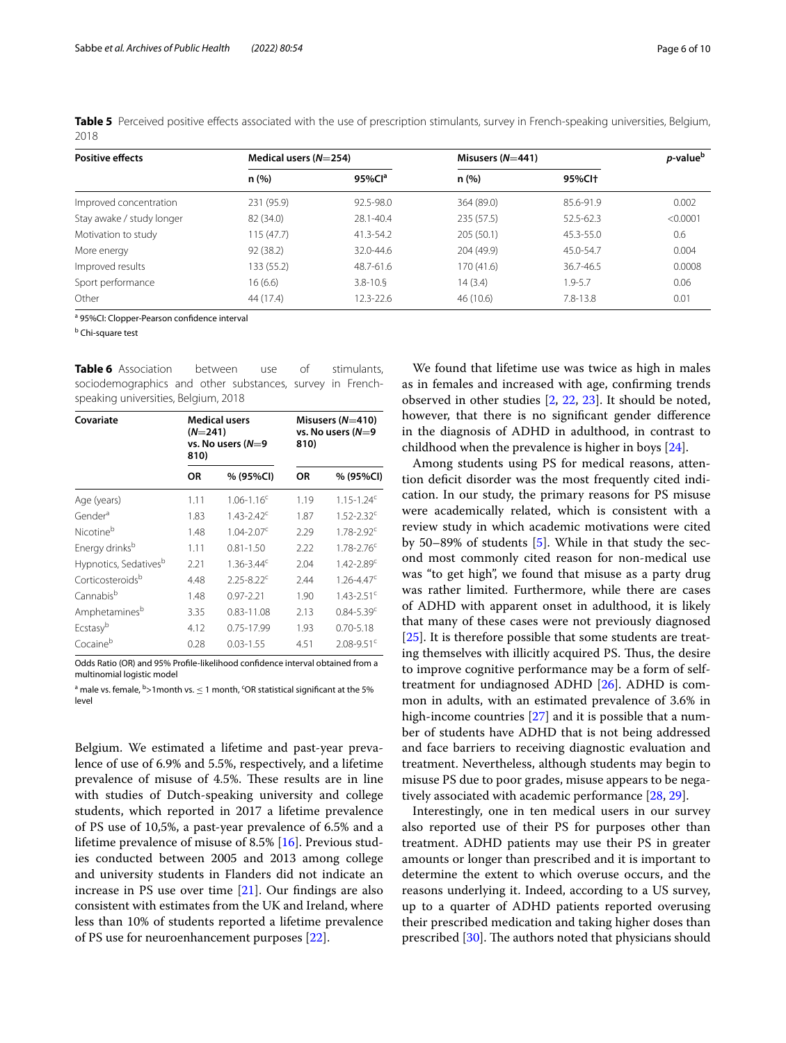<span id="page-5-0"></span>

|      | Table 5 Perceived positive effects associated with the use of prescription stimulants, survey in French-speaking universities, Belgium, |  |  |
|------|-----------------------------------------------------------------------------------------------------------------------------------------|--|--|
| 2018 |                                                                                                                                         |  |  |

| <b>Positive effects</b>   | Medical users $(N=254)$ |                        | Misusers $(N=441)$ | <i>p</i> -value <sup>b</sup> |          |
|---------------------------|-------------------------|------------------------|--------------------|------------------------------|----------|
|                           | n(%)                    | $95\%$ Cl <sup>a</sup> | n(%)               | 95%Cl <sup>+</sup>           |          |
| Improved concentration    | 231 (95.9)              | 92.5-98.0              | 364 (89.0)         | 85.6-91.9                    | 0.002    |
| Stay awake / study longer | 82 (34.0)               | 28.1-40.4              | 235 (57.5)         | 52.5-62.3                    | < 0.0001 |
| Motivation to study       | 115(47.7)               | $41.3 - 54.2$          | 205 (50.1)         | 45.3-55.0                    | 0.6      |
| More energy               | 92 (38.2)               | 32.0-44.6              | 204 (49.9)         | 45.0-54.7                    | 0.004    |
| Improved results          | 133 (55.2)              | 48.7-61.6              | 170(41.6)          | 36.7-46.5                    | 0.0008   |
| Sport performance         | 16(6.6)                 | $3.8 - 10.5$           | 14(3.4)            | $1.9 - 5.7$                  | 0.06     |
| Other                     | 44 (17.4)               | 12.3-22.6              | 46 (10.6)          | $7.8 - 13.8$                 | 0.01     |

<sup>a</sup> 95%CI: Clopper-Pearson confidence interval

<sup>b</sup> Chi-square test

<span id="page-5-1"></span>**Table 6** Association between use of stimulants, sociodemographics and other substances, survey in Frenchspeaking universities, Belgium, 2018

| Covariate                         | $(N=241)$<br>810) | Medical users<br>vs. No users (N=9 | 810) | Misusers $(N=410)$<br>vs. No users (N=9 |  |
|-----------------------------------|-------------------|------------------------------------|------|-----------------------------------------|--|
|                                   | ΟR                | % (95%CI)                          | ΟR   | % (95%CI)                               |  |
| Age (years)                       | 1.11              | $1.06 - 1.16^c$                    | 1.19 | $1.15 - 1.24^c$                         |  |
| Gender <sup>a</sup>               | 1.83              | $1.43 - 2.42$ <sup>c</sup>         | 1.87 | $1.52 - 2.32^c$                         |  |
| Nicotine <sup>b</sup>             | 1.48              | $1.04 - 2.07$ <sup>c</sup>         | 2.29 | $1.78 - 2.92^c$                         |  |
| Energy drinks <sup>b</sup>        | 1 1 1             | $0.81 - 1.50$                      | 2.22 | $1.78 - 2.76^c$                         |  |
| Hypnotics, Sedatives <sup>b</sup> | 2.21              | $1.36 - 3.44^c$                    | 2.04 | $1.42 - 2.89$ <sup>c</sup>              |  |
| Corticosteroids <sup>b</sup>      | 4.48              | $2.25 - 8.22$ <sup>c</sup>         | 2.44 | $1.26 - 4.47$ <sup>c</sup>              |  |
| Cannabis <sup>b</sup>             | 1.48              | $0.97 - 2.21$                      | 1.90 | $1.43 - 2.51$ <sup>c</sup>              |  |
| Amphetaminesb                     | 3.35              | 0.83-11.08                         | 2.13 | $0.84 - 5.39$ <sup>c</sup>              |  |
| Ecstasy <sup>b</sup>              | 4.12              | 0.75-17.99                         | 1.93 | $0.70 - 5.18$                           |  |
| Cocaineb                          | 0.28              | $0.03 - 1.55$                      | 4.51 | $2.08 - 9.51$ <sup>c</sup>              |  |

Odds Ratio (OR) and 95% Profle-likelihood confdence interval obtained from a multinomial logistic model

 $^{\text{a}}$  male vs. female, <sup>b</sup>>1month vs.  $\leq$  1 month, <sup>c</sup>OR statistical significant at the 5% level

Belgium. We estimated a lifetime and past-year prevalence of use of 6.9% and 5.5%, respectively, and a lifetime prevalence of misuse of 4.5%. These results are in line with studies of Dutch-speaking university and college students, which reported in 2017 a lifetime prevalence of PS use of 10,5%, a past-year prevalence of 6.5% and a lifetime prevalence of misuse of 8.5% [[16](#page-8-14)]. Previous studies conducted between 2005 and 2013 among college and university students in Flanders did not indicate an increase in PS use over time [\[21\]](#page-8-19). Our fndings are also consistent with estimates from the UK and Ireland, where less than 10% of students reported a lifetime prevalence of PS use for neuroenhancement purposes [[22\]](#page-8-20).

We found that lifetime use was twice as high in males as in females and increased with age, confrming trends observed in other studies [\[2,](#page-8-1) [22](#page-8-20), [23](#page-8-21)]. It should be noted, however, that there is no signifcant gender diference in the diagnosis of ADHD in adulthood, in contrast to childhood when the prevalence is higher in boys [[24\]](#page-8-22).

Among students using PS for medical reasons, attention deficit disorder was the most frequently cited indication. In our study, the primary reasons for PS misuse were academically related, which is consistent with a review study in which academic motivations were cited by 50–89% of students [[5\]](#page-8-4). While in that study the second most commonly cited reason for non-medical use was "to get high", we found that misuse as a party drug was rather limited. Furthermore, while there are cases of ADHD with apparent onset in adulthood, it is likely that many of these cases were not previously diagnosed [[25\]](#page-8-23). It is therefore possible that some students are treating themselves with illicitly acquired PS. Thus, the desire to improve cognitive performance may be a form of selftreatment for undiagnosed ADHD [[26\]](#page-8-24). ADHD is common in adults, with an estimated prevalence of 3.6% in high-income countries [\[27](#page-8-25)] and it is possible that a number of students have ADHD that is not being addressed and face barriers to receiving diagnostic evaluation and treatment. Nevertheless, although students may begin to misuse PS due to poor grades, misuse appears to be negatively associated with academic performance [[28](#page-9-0), [29\]](#page-9-1).

Interestingly, one in ten medical users in our survey also reported use of their PS for purposes other than treatment. ADHD patients may use their PS in greater amounts or longer than prescribed and it is important to determine the extent to which overuse occurs, and the reasons underlying it. Indeed, according to a US survey, up to a quarter of ADHD patients reported overusing their prescribed medication and taking higher doses than prescribed [[30](#page-9-2)]. The authors noted that physicians should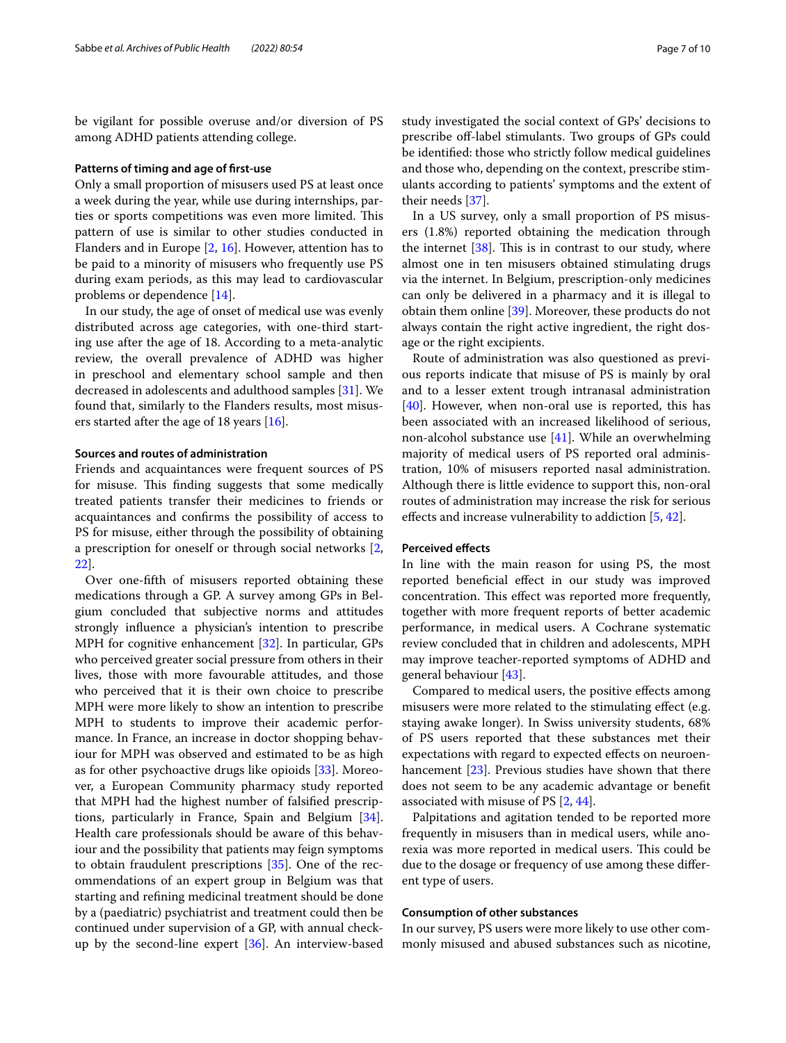be vigilant for possible overuse and/or diversion of PS among ADHD patients attending college.

#### **Patterns of timing and age of frst‑use**

Only a small proportion of misusers used PS at least once a week during the year, while use during internships, parties or sports competitions was even more limited. This pattern of use is similar to other studies conducted in Flanders and in Europe [[2,](#page-8-1) [16](#page-8-14)]. However, attention has to be paid to a minority of misusers who frequently use PS during exam periods, as this may lead to cardiovascular problems or dependence [\[14\]](#page-8-12).

In our study, the age of onset of medical use was evenly distributed across age categories, with one-third starting use after the age of 18. According to a meta-analytic review, the overall prevalence of ADHD was higher in preschool and elementary school sample and then decreased in adolescents and adulthood samples [\[31](#page-9-3)]. We found that, similarly to the Flanders results, most misusers started after the age of 18 years [\[16](#page-8-14)].

# **Sources and routes of administration**

Friends and acquaintances were frequent sources of PS for misuse. This finding suggests that some medically treated patients transfer their medicines to friends or acquaintances and confrms the possibility of access to PS for misuse, either through the possibility of obtaining a prescription for oneself or through social networks [\[2](#page-8-1), [22\]](#page-8-20).

Over one-ffth of misusers reported obtaining these medications through a GP. A survey among GPs in Belgium concluded that subjective norms and attitudes strongly infuence a physician's intention to prescribe MPH for cognitive enhancement [\[32\]](#page-9-4). In particular, GPs who perceived greater social pressure from others in their lives, those with more favourable attitudes, and those who perceived that it is their own choice to prescribe MPH were more likely to show an intention to prescribe MPH to students to improve their academic performance. In France, an increase in doctor shopping behaviour for MPH was observed and estimated to be as high as for other psychoactive drugs like opioids [\[33](#page-9-5)]. Moreover, a European Community pharmacy study reported that MPH had the highest number of falsifed prescriptions, particularly in France, Spain and Belgium [\[34](#page-9-6)]. Health care professionals should be aware of this behaviour and the possibility that patients may feign symptoms to obtain fraudulent prescriptions [[35\]](#page-9-7). One of the recommendations of an expert group in Belgium was that starting and refning medicinal treatment should be done by a (paediatric) psychiatrist and treatment could then be continued under supervision of a GP, with annual checkup by the second-line expert [\[36](#page-9-8)]. An interview-based study investigated the social context of GPs' decisions to prescribe of-label stimulants. Two groups of GPs could be identifed: those who strictly follow medical guidelines and those who, depending on the context, prescribe stimulants according to patients' symptoms and the extent of their needs [[37\]](#page-9-9).

In a US survey, only a small proportion of PS misusers (1.8%) reported obtaining the medication through the internet  $[38]$  $[38]$ . This is in contrast to our study, where almost one in ten misusers obtained stimulating drugs via the internet. In Belgium, prescription-only medicines can only be delivered in a pharmacy and it is illegal to obtain them online [[39\]](#page-9-11). Moreover, these products do not always contain the right active ingredient, the right dosage or the right excipients.

Route of administration was also questioned as previous reports indicate that misuse of PS is mainly by oral and to a lesser extent trough intranasal administration [[40\]](#page-9-12). However, when non-oral use is reported, this has been associated with an increased likelihood of serious, non-alcohol substance use [\[41](#page-9-13)]. While an overwhelming majority of medical users of PS reported oral administration, 10% of misusers reported nasal administration. Although there is little evidence to support this, non-oral routes of administration may increase the risk for serious efects and increase vulnerability to addiction [\[5](#page-8-4), [42\]](#page-9-14).

#### **Perceived efects**

In line with the main reason for using PS, the most reported benefcial efect in our study was improved concentration. This effect was reported more frequently, together with more frequent reports of better academic performance, in medical users. A Cochrane systematic review concluded that in children and adolescents, MPH may improve teacher-reported symptoms of ADHD and general behaviour [\[43](#page-9-15)].

Compared to medical users, the positive efects among misusers were more related to the stimulating efect (e.g. staying awake longer). In Swiss university students, 68% of PS users reported that these substances met their expectations with regard to expected efects on neuroen-hancement [[23](#page-8-21)]. Previous studies have shown that there does not seem to be any academic advantage or beneft associated with misuse of PS [[2,](#page-8-1) [44](#page-9-16)].

Palpitations and agitation tended to be reported more frequently in misusers than in medical users, while anorexia was more reported in medical users. This could be due to the dosage or frequency of use among these diferent type of users.

### **Consumption of other substances**

In our survey, PS users were more likely to use other commonly misused and abused substances such as nicotine,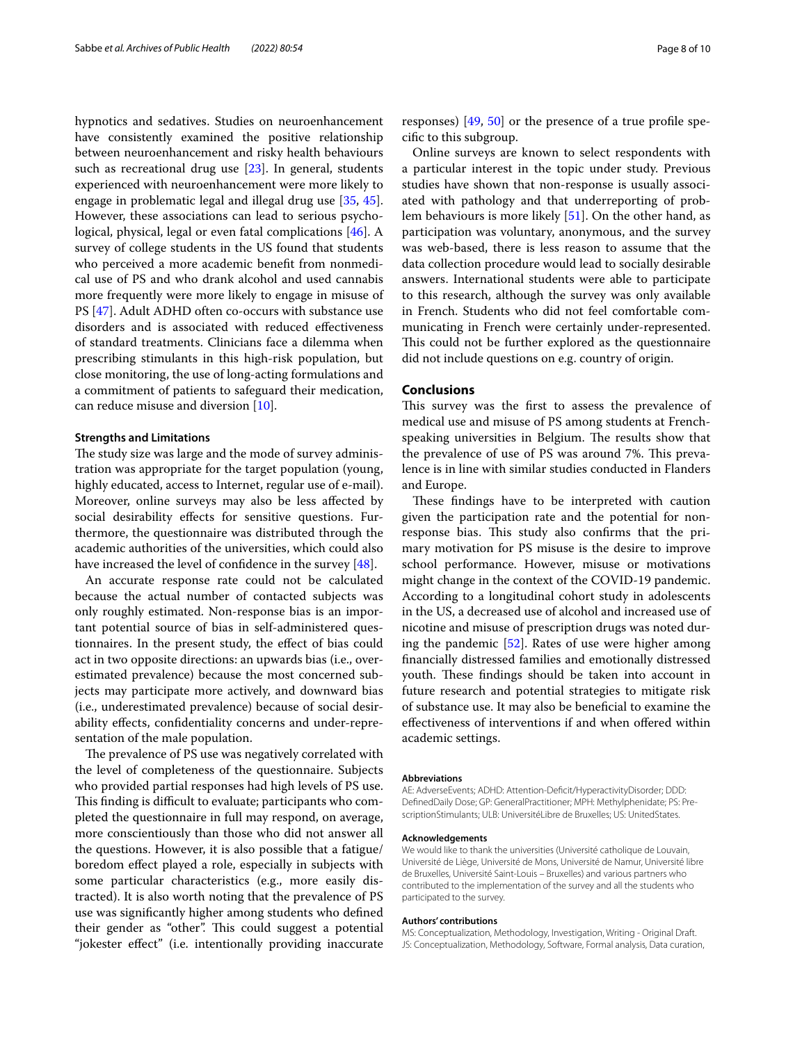hypnotics and sedatives. Studies on neuroenhancement have consistently examined the positive relationship between neuroenhancement and risky health behaviours such as recreational drug use [\[23](#page-8-21)]. In general, students experienced with neuroenhancement were more likely to engage in problematic legal and illegal drug use [\[35](#page-9-7), [45](#page-9-17)]. However, these associations can lead to serious psychological, physical, legal or even fatal complications [[46](#page-9-18)]. A survey of college students in the US found that students who perceived a more academic beneft from nonmedical use of PS and who drank alcohol and used cannabis more frequently were more likely to engage in misuse of PS [[47\]](#page-9-19). Adult ADHD often co-occurs with substance use disorders and is associated with reduced efectiveness of standard treatments. Clinicians face a dilemma when prescribing stimulants in this high-risk population, but close monitoring, the use of long-acting formulations and a commitment of patients to safeguard their medication, can reduce misuse and diversion [[10\]](#page-8-8).

# **Strengths and Limitations**

The study size was large and the mode of survey administration was appropriate for the target population (young, highly educated, access to Internet, regular use of e-mail). Moreover, online surveys may also be less afected by social desirability effects for sensitive questions. Furthermore, the questionnaire was distributed through the academic authorities of the universities, which could also have increased the level of confidence in the survey [[48](#page-9-20)].

An accurate response rate could not be calculated because the actual number of contacted subjects was only roughly estimated. Non-response bias is an important potential source of bias in self-administered questionnaires. In the present study, the efect of bias could act in two opposite directions: an upwards bias (i.e., overestimated prevalence) because the most concerned subjects may participate more actively, and downward bias (i.e., underestimated prevalence) because of social desirability efects, confdentiality concerns and under-representation of the male population.

The prevalence of PS use was negatively correlated with the level of completeness of the questionnaire. Subjects who provided partial responses had high levels of PS use. This finding is difficult to evaluate; participants who completed the questionnaire in full may respond, on average, more conscientiously than those who did not answer all the questions. However, it is also possible that a fatigue/ boredom efect played a role, especially in subjects with some particular characteristics (e.g., more easily distracted). It is also worth noting that the prevalence of PS use was signifcantly higher among students who defned their gender as "other". This could suggest a potential "jokester efect" (i.e. intentionally providing inaccurate responses) [\[49](#page-9-21), [50](#page-9-22)] or the presence of a true profle specifc to this subgroup.

Online surveys are known to select respondents with a particular interest in the topic under study. Previous studies have shown that non-response is usually associated with pathology and that underreporting of problem behaviours is more likely [[51](#page-9-23)]. On the other hand, as participation was voluntary, anonymous, and the survey was web-based, there is less reason to assume that the data collection procedure would lead to socially desirable answers. International students were able to participate to this research, although the survey was only available in French. Students who did not feel comfortable communicating in French were certainly under-represented. This could not be further explored as the questionnaire did not include questions on e.g. country of origin.

# **Conclusions**

This survey was the first to assess the prevalence of medical use and misuse of PS among students at Frenchspeaking universities in Belgium. The results show that the prevalence of use of PS was around 7%. This prevalence is in line with similar studies conducted in Flanders and Europe.

These findings have to be interpreted with caution given the participation rate and the potential for nonresponse bias. This study also confirms that the primary motivation for PS misuse is the desire to improve school performance. However, misuse or motivations might change in the context of the COVID-19 pandemic. According to a longitudinal cohort study in adolescents in the US, a decreased use of alcohol and increased use of nicotine and misuse of prescription drugs was noted during the pandemic [[52](#page-9-24)]. Rates of use were higher among fnancially distressed families and emotionally distressed youth. These findings should be taken into account in future research and potential strategies to mitigate risk of substance use. It may also be benefcial to examine the efectiveness of interventions if and when ofered within academic settings.

#### **Abbreviations**

AE: AdverseEvents; ADHD: Attention-Defcit/HyperactivityDisorder; DDD: DefnedDaily Dose; GP: GeneralPractitioner; MPH: Methylphenidate; PS: PrescriptionStimulants; ULB: UniversitéLibre de Bruxelles; US: UnitedStates.

#### **Acknowledgements**

We would like to thank the universities (Université catholique de Louvain, Université de Liège, Université de Mons, Université de Namur, Université libre de Bruxelles, Université Saint-Louis – Bruxelles) and various partners who contributed to the implementation of the survey and all the students who participated to the survey.

#### **Authors' contributions**

MS: Conceptualization, Methodology, Investigation, Writing - Original Draft. JS: Conceptualization, Methodology, Software, Formal analysis, Data curation,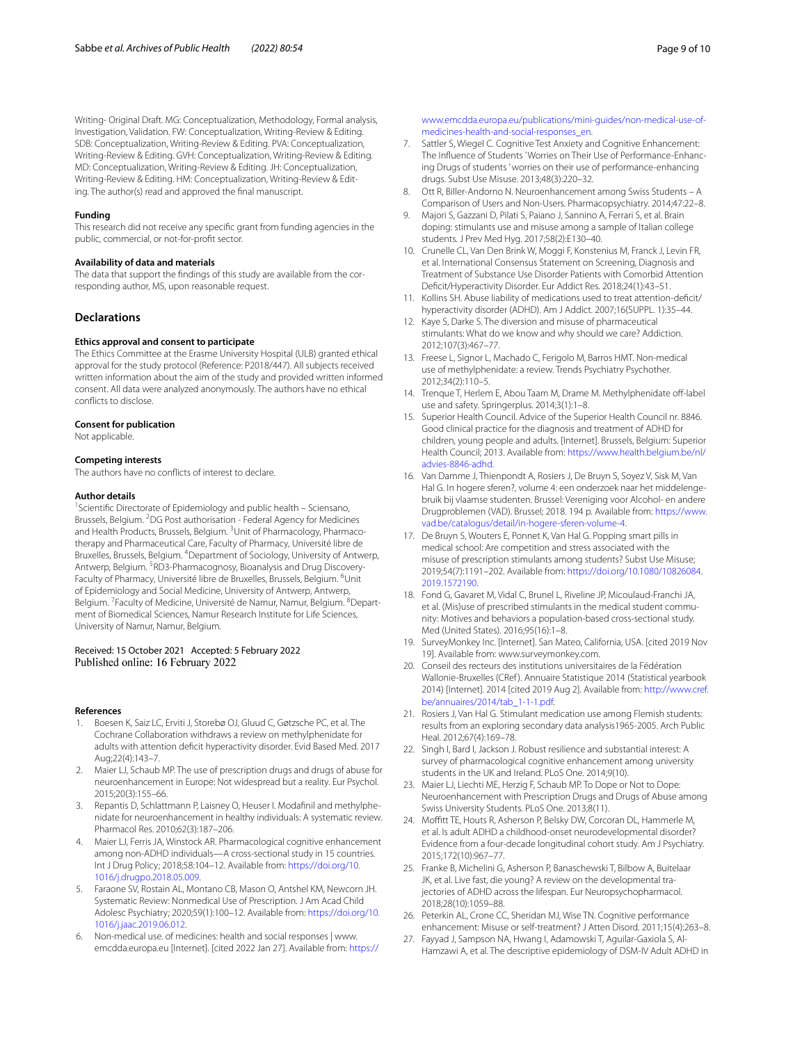Writing- Original Draft. MG: Conceptualization, Methodology, Formal analysis, Investigation, Validation. FW: Conceptualization, Writing-Review & Editing. SDB: Conceptualization, Writing-Review & Editing. PVA: Conceptualization, Writing-Review & Editing. GVH: Conceptualization, Writing-Review & Editing. MD: Conceptualization, Writing-Review & Editing. JH: Conceptualization, Writing-Review & Editing. HM: Conceptualization, Writing-Review & Editing. The author(s) read and approved the fnal manuscript.

#### **Funding**

This research did not receive any specifc grant from funding agencies in the public, commercial, or not-for-proft sector.

# **Availability of data and materials**

The data that support the fndings of this study are available from the corresponding author, MS, upon reasonable request.

# **Declarations**

#### **Ethics approval and consent to participate**

The Ethics Committee at the Erasme University Hospital (ULB) granted ethical approval for the study protocol (Reference: P2018/447). All subjects received written information about the aim of the study and provided written informed consent. All data were analyzed anonymously. The authors have no ethical conficts to disclose.

#### **Consent for publication**

Not applicable.

#### **Competing interests**

The authors have no conficts of interest to declare.

#### **Author details**

<sup>1</sup> Scientific Directorate of Epidemiology and public health - Sciensano, Brussels, Belgium. <sup>2</sup>DG Post authorisation - Federal Agency for Medicines and Health Products, Brussels, Belgium. <sup>3</sup>Unit of Pharmacology, Pharmacotherapy and Pharmaceutical Care, Faculty of Pharmacy, Université libre de Bruxelles, Brussels, Belgium. 4 Department of Sociology, University of Antwerp, Antwerp, Belgium. <sup>5</sup>RD3-Pharmacognosy, Bioanalysis and Drug Discovery-Faculty of Pharmacy, Université libre de Bruxelles, Brussels, Belgium. <sup>6</sup>Unit of Epidemiology and Social Medicine, University of Antwerp, Antwerp, Belgium. <sup>7</sup> Faculty of Medicine, Université de Namur, Namur, Belgium. <sup>8</sup> Department of Biomedical Sciences, Namur Research Institute for Life Sciences, University of Namur, Namur, Belgium.

# Received: 15 October 2021 Accepted: 5 February 2022 Published online: 16 February 2022

#### **References**

- <span id="page-8-0"></span>1. Boesen K, Saiz LC, Erviti J, Storebø OJ, Gluud C, Gøtzsche PC, et al. The Cochrane Collaboration withdraws a review on methylphenidate for adults with attention deficit hyperactivity disorder. Evid Based Med. 2017 Aug;22(4):143–7.
- <span id="page-8-1"></span>2. Maier LJ, Schaub MP. The use of prescription drugs and drugs of abuse for neuroenhancement in Europe: Not widespread but a reality. Eur Psychol. 2015;20(3):155–66.
- <span id="page-8-2"></span>3. Repantis D, Schlattmann P, Laisney O, Heuser I. Modafnil and methylphenidate for neuroenhancement in healthy individuals: A systematic review. Pharmacol Res. 2010;62(3):187–206.
- <span id="page-8-3"></span>4. Maier LJ, Ferris JA, Winstock AR. Pharmacological cognitive enhancement among non-ADHD individuals—A cross-sectional study in 15 countries. Int J Drug Policy; 2018;58:104–12. Available from: [https://doi.org/10.](https://doi.org/10.1016/j.drugpo.2018.05.009) [1016/j.drugpo.2018.05.009.](https://doi.org/10.1016/j.drugpo.2018.05.009)
- <span id="page-8-4"></span>5. Faraone SV, Rostain AL, Montano CB, Mason O, Antshel KM, Newcorn JH. Systematic Review: Nonmedical Use of Prescription. J Am Acad Child Adolesc Psychiatry; 2020;59(1):100–12. Available from: [https://doi.org/10.](https://doi.org/10.1016/j.jaac.2019.06.012) [1016/j.jaac.2019.06.012](https://doi.org/10.1016/j.jaac.2019.06.012).
- <span id="page-8-5"></span>6. Non-medical use. of medicines: health and social responses | www. emcdda.europa.eu [Internet]. [cited 2022 Jan 27]. Available from: [https://](https://www.emcdda.europa.eu/publications/mini-guides/non-medical-use-of-medicines-health-and-social-responses_en)
- <span id="page-8-6"></span>7. Sattler S, Wiegel C. Cognitive Test Anxiety and Cognitive Enhancement: The Infuence of Students ' Worries on Their Use of Performance-Enhancing Drugs of students ' worries on their use of performance-enhancing drugs. Subst Use Misuse. 2013;48(3):220–32.
- 8. Ott R, Biller-Andorno N. Neuroenhancement among Swiss Students A Comparison of Users and Non-Users. Pharmacopsychiatry. 2014;47:22–8.
- <span id="page-8-7"></span>Majori S, Gazzani D, Pilati S, Paiano J, Sannino A, Ferrari S, et al. Brain doping: stimulants use and misuse among a sample of Italian college students. J Prev Med Hyg. 2017;58(2):E130–40.
- <span id="page-8-8"></span>10. Crunelle CL, Van Den Brink W, Moggi F, Konstenius M, Franck J, Levin FR, et al. International Consensus Statement on Screening, Diagnosis and Treatment of Substance Use Disorder Patients with Comorbid Attention Defcit/Hyperactivity Disorder. Eur Addict Res. 2018;24(1):43–51.
- <span id="page-8-9"></span>11. Kollins SH. Abuse liability of medications used to treat attention-deficit/ hyperactivity disorder (ADHD). Am J Addict. 2007;16(SUPPL. 1):35–44.
- <span id="page-8-10"></span>12. Kaye S, Darke S. The diversion and misuse of pharmaceutical stimulants: What do we know and why should we care? Addiction. 2012;107(3):467–77.
- <span id="page-8-11"></span>13. Freese L, Signor L, Machado C, Ferigolo M, Barros HMT. Non-medical use of methylphenidate: a review. Trends Psychiatry Psychother. 2012;34(2):110–5.
- <span id="page-8-12"></span>14. Trenque T, Herlem E, Abou Taam M, Drame M. Methylphenidate off-label use and safety. Springerplus. 2014;3(1):1–8.
- <span id="page-8-13"></span>15. Superior Health Council. Advice of the Superior Health Council nr. 8846. Good clinical practice for the diagnosis and treatment of ADHD for children, young people and adults. [Internet]. Brussels, Belgium: Superior Health Council; 2013. Available from: [https://www.health.belgium.be/nl/](https://www.health.belgium.be/nl/advies-8846-adhd) [advies-8846-adhd](https://www.health.belgium.be/nl/advies-8846-adhd).
- <span id="page-8-14"></span>16. Van Damme J, Thienpondt A, Rosiers J, De Bruyn S, Soyez V, Sisk M, Van Hal G. In hogere sferen?, volume 4: een onderzoek naar het middelengebruik bij vlaamse studenten. Brussel: Vereniging voor Alcohol- en andere Drugproblemen (VAD). Brussel; 2018. 194 p. Available from: [https://www.](https://www.vad.be/catalogus/detail/in-hogere-sferen-volume-4) [vad.be/catalogus/detail/in-hogere-sferen-volume-4.](https://www.vad.be/catalogus/detail/in-hogere-sferen-volume-4)
- <span id="page-8-15"></span>17. De Bruyn S, Wouters E, Ponnet K, Van Hal G. Popping smart pills in medical school: Are competition and stress associated with the misuse of prescription stimulants among students? Subst Use Misuse; 2019;54(7):1191–202. Available from: [https://doi.org/10.1080/10826084.](https://doi.org/10.1080/10826084.2019.1572190) [2019.1572190](https://doi.org/10.1080/10826084.2019.1572190).
- <span id="page-8-16"></span>18. Fond G, Gavaret M, Vidal C, Brunel L, Riveline JP, Micoulaud-Franchi JA, et al. (Mis)use of prescribed stimulants in the medical student community: Motives and behaviors a population-based cross-sectional study. Med (United States). 2016;95(16):1–8.
- <span id="page-8-17"></span>19. SurveyMonkey Inc. [Internet]. San Mateo, California, USA. [cited 2019 Nov 19]. Available from: www.surveymonkey.com.
- <span id="page-8-18"></span>20. Conseil des recteurs des institutions universitaires de la Fédération Wallonie-Bruxelles (CRef ). Annuaire Statistique 2014 (Statistical yearbook 2014) [Internet]. 2014 [cited 2019 Aug 2]. Available from: [http://www.cref.](http://www.cref.be/annuaires/2014/tab_1-1-1.pdf) [be/annuaires/2014/tab\\_1-1-1.pdf](http://www.cref.be/annuaires/2014/tab_1-1-1.pdf).
- <span id="page-8-19"></span>21. Rosiers J, Van Hal G. Stimulant medication use among Flemish students: results from an exploring secondary data analysis1965-2005. Arch Public Heal. 2012;67(4):169–78.
- <span id="page-8-20"></span>22. Singh I, Bard I, Jackson J. Robust resilience and substantial interest: A survey of pharmacological cognitive enhancement among university students in the UK and Ireland. PLoS One. 2014;9(10).
- <span id="page-8-21"></span>23. Maier LJ, Liechti ME, Herzig F, Schaub MP. To Dope or Not to Dope: Neuroenhancement with Prescription Drugs and Drugs of Abuse among Swiss University Students. PLoS One. 2013;8(11).
- <span id="page-8-22"></span>24. Moffitt TE, Houts R, Asherson P, Belsky DW, Corcoran DL, Hammerle M, et al. Is adult ADHD a childhood-onset neurodevelopmental disorder? Evidence from a four-decade longitudinal cohort study. Am J Psychiatry. 2015;172(10):967–77.
- <span id="page-8-23"></span>25. Franke B, Michelini G, Asherson P, Banaschewski T, Bilbow A, Buitelaar JK, et al. Live fast, die young? A review on the developmental trajectories of ADHD across the lifespan. Eur Neuropsychopharmacol. 2018;28(10):1059–88.
- <span id="page-8-24"></span>26. Peterkin AL, Crone CC, Sheridan MJ, Wise TN. Cognitive performance enhancement: Misuse or self-treatment? J Atten Disord. 2011;15(4):263–8.
- <span id="page-8-25"></span>27. Fayyad J, Sampson NA, Hwang I, Adamowski T, Aguilar-Gaxiola S, Al-Hamzawi A, et al. The descriptive epidemiology of DSM-IV Adult ADHD in